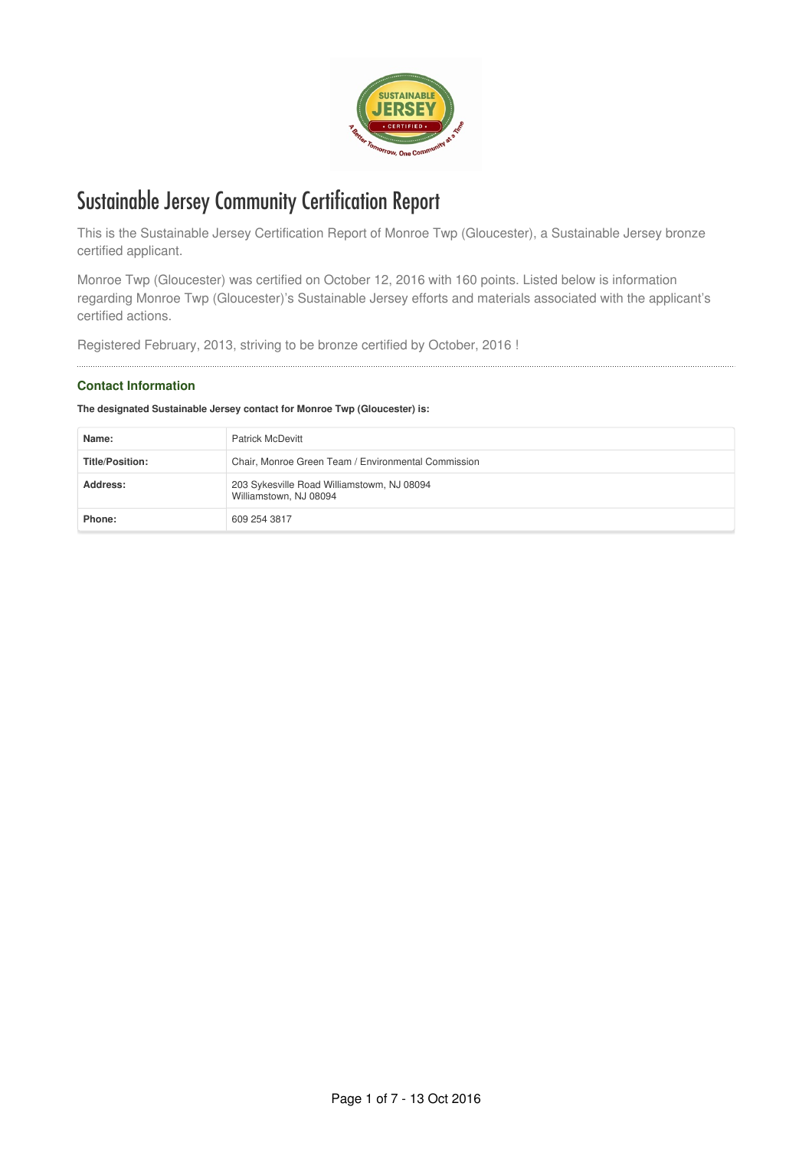

# Sustainable Jersey Community Certification Report

This is the Sustainable Jersey Certification Report of Monroe Twp (Gloucester), a Sustainable Jersey bronze certified applicant.

Monroe Twp (Gloucester) was certified on October 12, 2016 with 160 points. Listed below is information regarding Monroe Twp (Gloucester)'s Sustainable Jersey efforts and materials associated with the applicant's certified actions.

Registered February, 2013, striving to be bronze certified by October, 2016 !

# **Contact Information**

# **The designated Sustainable Jersey contact for Monroe Twp (Gloucester) is:**

| Name:                  | <b>Patrick McDevitt</b>                                              |
|------------------------|----------------------------------------------------------------------|
| <b>Title/Position:</b> | Chair, Monroe Green Team / Environmental Commission                  |
| Address:               | 203 Sykesville Road Williamstowm, NJ 08094<br>Williamstown, NJ 08094 |
| Phone:                 | 609 254 3817                                                         |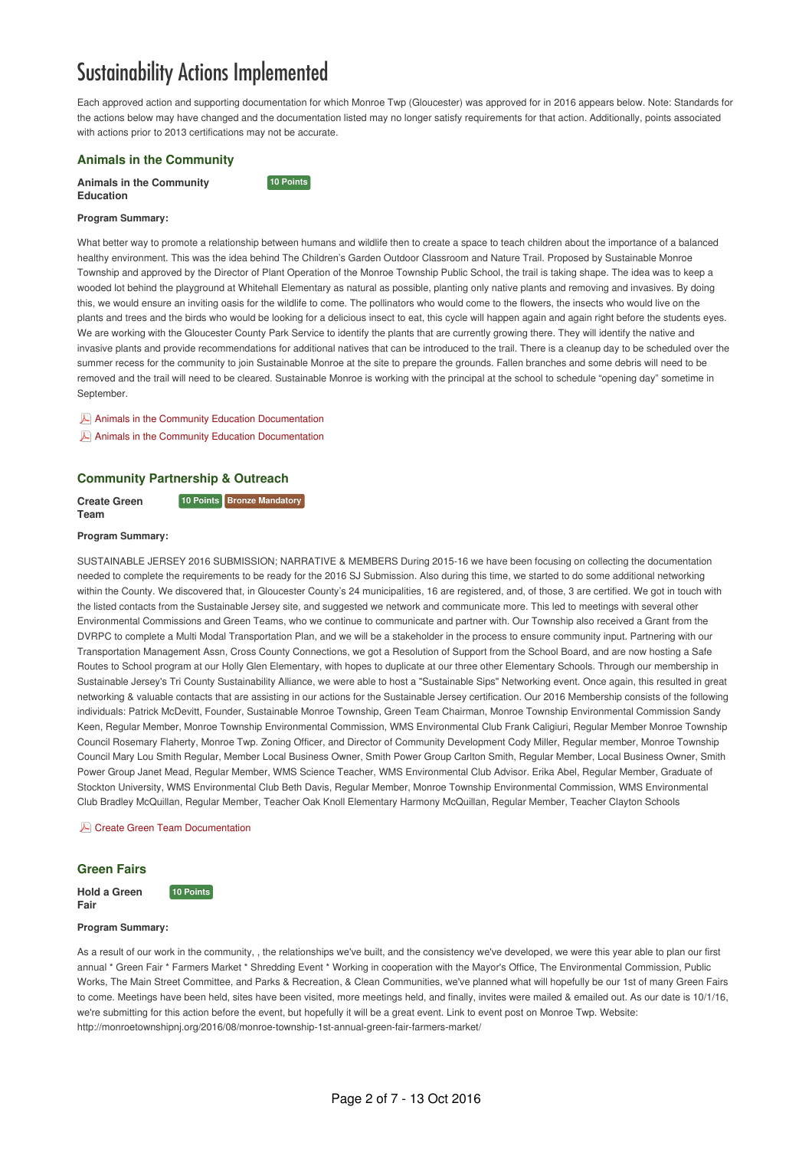# Sustainability Actions Implemented

**10 Points** 

Each approved action and supporting documentation for which Monroe Twp (Gloucester) was approved for in 2016 appears below. Note: Standards for the actions below may have changed and the documentation listed may no longer satisfy requirements for that action. Additionally, points associated with actions prior to 2013 certifications may not be accurate.

## **Animals in the Community**

**Animals in the Community Education**

#### **Program Summary:**

What better way to promote a relationship between humans and wildlife then to create a space to teach children about the importance of a balanced healthy environment. This was the idea behind The Children's Garden Outdoor Classroom and Nature Trail. Proposed by Sustainable Monroe Township and approved by the Director of Plant Operation of the Monroe Township Public School, the trail is taking shape. The idea was to keep a wooded lot behind the playground at Whitehall Elementary as natural as possible, planting only native plants and removing and invasives. By doing this, we would ensure an inviting oasis for the wildlife to come. The pollinators who would come to the flowers, the insects who would live on the plants and trees and the birds who would be looking for a delicious insect to eat, this cycle will happen again and again right before the students eyes. We are working with the Gloucester County Park Service to identify the plants that are currently growing there. They will identify the native and invasive plants and provide recommendations for additional natives that can be introduced to the trail. There is a cleanup day to be scheduled over the summer recess for the community to join Sustainable Monroe at the site to prepare the grounds. Fallen branches and some debris will need to be removed and the trail will need to be cleared. Sustainable Monroe is working with the principal at the school to schedule "opening day" sometime in September.

Animals in the Community Education [Documentation](http://sj-site-persistent-prod.s3.amazonaws.com/fileadmin/cicbase/documents/2015/6/8/14337351892264.pdf)

Animals in the Community Education [Documentation](http://sj-site-persistent-prod.s3.amazonaws.com/fileadmin/cicbase/documents/2015/6/8/14337352482282.pdf)

## **Community Partnership & Outreach**

**Create Green Team 10 Points Bronze Mandatory** 

#### **Program Summary:**

SUSTAINABLE JERSEY 2016 SUBMISSION; NARRATIVE & MEMBERS During 2015-16 we have been focusing on collecting the documentation needed to complete the requirements to be ready for the 2016 SJ Submission. Also during this time, we started to do some additional networking within the County. We discovered that, in Gloucester County's 24 municipalities, 16 are registered, and, of those, 3 are certified. We got in touch with the listed contacts from the Sustainable Jersey site, and suggested we network and communicate more. This led to meetings with several other Environmental Commissions and Green Teams, who we continue to communicate and partner with. Our Township also received a Grant from the DVRPC to complete a Multi Modal Transportation Plan, and we will be a stakeholder in the process to ensure community input. Partnering with our Transportation Management Assn, Cross County Connections, we got a Resolution of Support from the School Board, and are now hosting a Safe Routes to School program at our Holly Glen Elementary, with hopes to duplicate at our three other Elementary Schools. Through our membership in Sustainable Jersey's Tri County Sustainability Alliance, we were able to host a "Sustainable Sips" Networking event. Once again, this resulted in great networking & valuable contacts that are assisting in our actions for the Sustainable Jersey certification. Our 2016 Membership consists of the following individuals: Patrick McDevitt, Founder, Sustainable Monroe Township, Green Team Chairman, Monroe Township Environmental Commission Sandy Keen, Regular Member, Monroe Township Environmental Commission, WMS Environmental Club Frank Caligiuri, Regular Member Monroe Township Council Rosemary Flaherty, Monroe Twp. Zoning Officer, and Director of Community Development Cody Miller, Regular member, Monroe Township Council Mary Lou Smith Regular, Member Local Business Owner, Smith Power Group Carlton Smith, Regular Member, Local Business Owner, Smith Power Group Janet Mead, Regular Member, WMS Science Teacher, WMS Environmental Club Advisor. Erika Abel, Regular Member, Graduate of Stockton University, WMS Environmental Club Beth Davis, Regular Member, Monroe Township Environmental Commission, WMS Environmental Club Bradley McQuillan, Regular Member, Teacher Oak Knoll Elementary Harmony McQuillan, Regular Member, Teacher Clayton Schools

#### **A** Create Green Team [Documentation](http://sj-site-persistent-prod.s3.amazonaws.com/fileadmin/cicbase/documents/2016/6/5/14651512735486.pdf)

**10 Points** 

#### **Green Fairs**

**Fair**

**Hold a Green**

#### **Program Summary:**

As a result of our work in the community, , the relationships we've built, and the consistency we've developed, we were this year able to plan our first annual \* Green Fair \* Farmers Market \* Shredding Event \* Working in cooperation with the Mayor's Office, The Environmental Commission, Public Works, The Main Street Committee, and Parks & Recreation, & Clean Communities, we've planned what will hopefully be our 1st of many Green Fairs to come. Meetings have been held, sites have been visited, more meetings held, and finally, invites were mailed & emailed out. As our date is 10/1/16, we're submitting for this action before the event, but hopefully it will be a great event. Link to event post on Monroe Twp. Website: http://monroetownshipnj.org/2016/08/monroe-township-1st-annual-green-fair-farmers-market/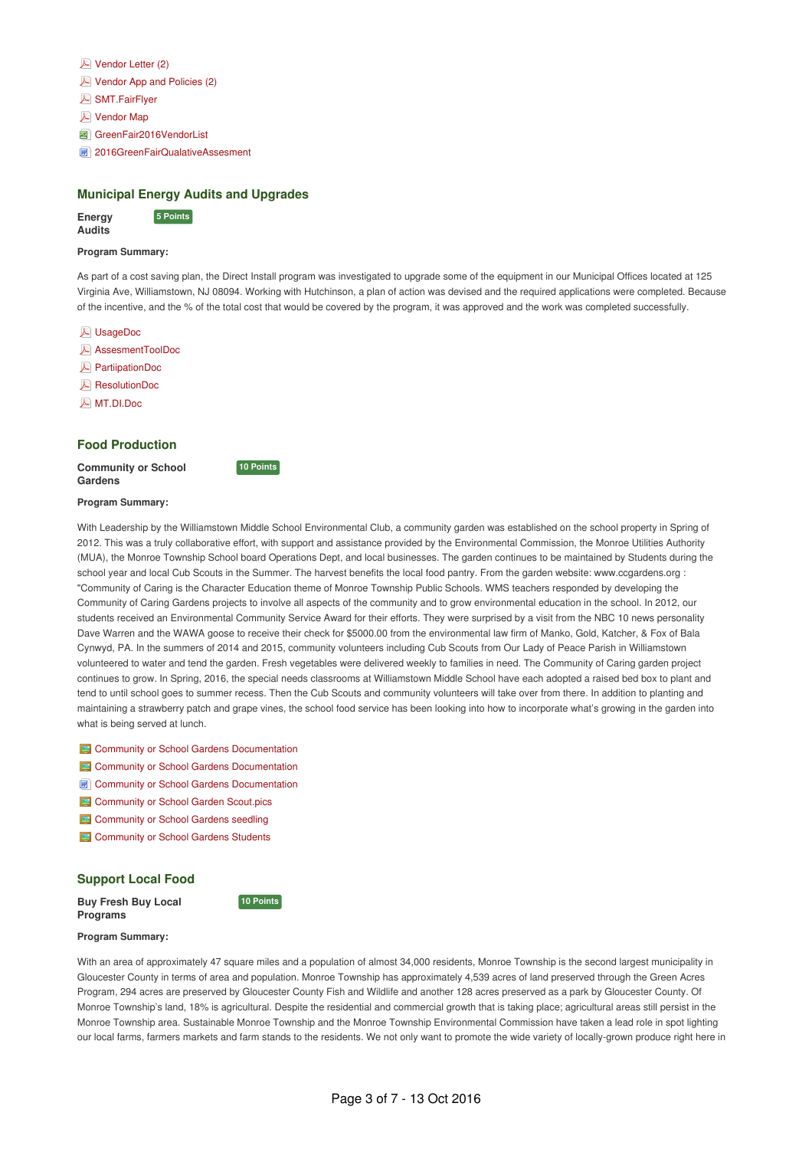| $\blacktriangleright$ Vendor Letter (2) |  |
|-----------------------------------------|--|
|-----------------------------------------|--|

- Vendor App and [Policies](http://sj-site-persistent-prod.s3.amazonaws.com/fileadmin/cicbase/documents/2016/9/11/14735584273471.pdf) (2)
- [SMT.FairFlyer](http://sj-site-persistent-prod.s3.amazonaws.com/fileadmin/cicbase/documents/2016/9/11/14735584870208.pdf)
- **A** [Vendor](http://sj-site-persistent-prod.s3.amazonaws.com/fileadmin/cicbase/documents/2016/9/11/1473558527701.pdf) Map
- **a** [GreenFair2016VendorList](http://sj-site-persistent-prod.s3.amazonaws.com/fileadmin/cicbase/documents/2016/9/11/14735585903905.xlsx)
- **[2016GreenFairQualativeAssesment](http://sj-site-persistent-prod.s3.amazonaws.com/fileadmin/cicbase/documents/2016/9/11/14735615055295.doc)**

# **Municipal Energy Audits and Upgrades**

**10 Points** 

**10 Points** 

**Energy Audits 5** Points

# **Program Summary:**

As part of a cost saving plan, the Direct Install program was investigated to upgrade some of the equipment in our Municipal Offices located at 125 Virginia Ave, Williamstown, NJ 08094. Working with Hutchinson, a plan of action was devised and the required applications were completed. Because of the incentive, and the % of the total cost that would be covered by the program, it was approved and the work was completed successfully.

- [UsageDoc](http://sj-site-persistent-prod.s3.amazonaws.com/fileadmin/cicbase/documents/2016/9/11/14736213557057.pdf)
- [AssesmentToolDoc](http://sj-site-persistent-prod.s3.amazonaws.com/fileadmin/cicbase/documents/2016/9/11/14736213863424.pdf)
- [PartiipationDoc](http://sj-site-persistent-prod.s3.amazonaws.com/fileadmin/cicbase/documents/2016/9/11/14736214176148.pdf)
- [ResolutionDoc](http://sj-site-persistent-prod.s3.amazonaws.com/fileadmin/cicbase/documents/2016/9/11/14736216405665.pdf)
- [MT.DI.Doc](http://sj-site-persistent-prod.s3.amazonaws.com/fileadmin/cicbase/documents/2016/9/11/14736216895006.pdf)

# **Food Production**

**Community or School Gardens**

## **Program Summary:**

With Leadership by the Williamstown Middle School Environmental Club, a community garden was established on the school property in Spring of 2012. This was a truly collaborative effort, with support and assistance provided by the Environmental Commission, the Monroe Utilities Authority (MUA), the Monroe Township School board Operations Dept, and local businesses. The garden continues to be maintained by Students during the school year and local Cub Scouts in the Summer. The harvest benefits the local food pantry. From the garden website: www.ccgardens.org : "Community of Caring is the Character Education theme of Monroe Township Public Schools. WMS teachers responded by developing the Community of Caring Gardens projects to involve all aspects of the community and to grow environmental education in the school. In 2012, our students received an Environmental Community Service Award for their efforts. They were surprised by a visit from the NBC 10 news personality Dave Warren and the WAWA goose to receive their check for \$5000.00 from the environmental law firm of Manko, Gold, Katcher, & Fox of Bala Cynwyd, PA. In the summers of 2014 and 2015, community volunteers including Cub Scouts from Our Lady of Peace Parish in Williamstown volunteered to water and tend the garden. Fresh vegetables were delivered weekly to families in need. The Community of Caring garden project continues to grow. In Spring, 2016, the special needs classrooms at Williamstown Middle School have each adopted a raised bed box to plant and tend to until school goes to summer recess. Then the Cub Scouts and community volunteers will take over from there. In addition to planting and maintaining a strawberry patch and grape vines, the school food service has been looking into how to incorporate what's growing in the garden into what is being served at lunch.

- **E** Community or School Gardens [Documentation](http://sj-site-persistent-prod.s3.amazonaws.com/fileadmin/cicbase/documents/2015/6/8/14337337504186.jpg)
- **E** Community or School Gardens [Documentation](http://sj-site-persistent-prod.s3.amazonaws.com/fileadmin/cicbase/documents/2015/6/8/14337338389996.jpg)
- **Community or School Gardens [Documentation](http://sj-site-persistent-prod.s3.amazonaws.com/fileadmin/cicbase/documents/2015/9/13/14421066819241.doc)**
- **E** [Community](http://sj-site-persistent-prod.s3.amazonaws.com/fileadmin/cicbase/documents/2016/6/5/14651548511198.jpg) or School Garden Scout.pics
- [Community](http://sj-site-persistent-prod.s3.amazonaws.com/fileadmin/cicbase/documents/2016/6/5/14651548889685.jpg) or School Gardens seedling
- **E** [Community](http://sj-site-persistent-prod.s3.amazonaws.com/fileadmin/cicbase/documents/2016/6/5/1465154920562.jpg) or School Gardens Students

# **Support Local Food**

**Buy Fresh Buy Local Programs**

#### **Program Summary:**

With an area of approximately 47 square miles and a population of almost 34,000 residents, Monroe Township is the second largest municipality in Gloucester County in terms of area and population. Monroe Township has approximately 4,539 acres of land preserved through the Green Acres Program, 294 acres are preserved by Gloucester County Fish and Wildlife and another 128 acres preserved as a park by Gloucester County. Of Monroe Township's land, 18% is agricultural. Despite the residential and commercial growth that is taking place; agricultural areas still persist in the Monroe Township area. Sustainable Monroe Township and the Monroe Township Environmental Commission have taken a lead role in spot lighting our local farms, farmers markets and farm stands to the residents. We not only want to promote the wide variety of locally-grown produce right here in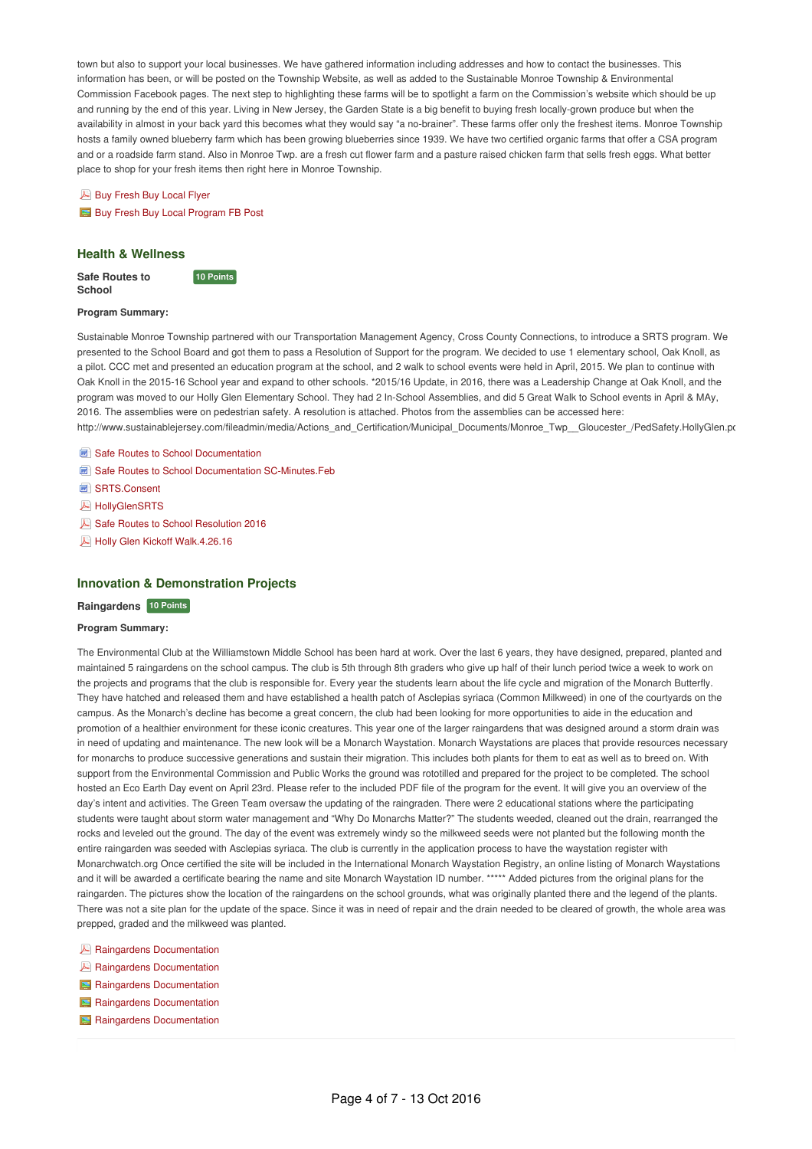town but also to support your local businesses. We have gathered information including addresses and how to contact the businesses. This information has been, or will be posted on the Township Website, as well as added to the Sustainable Monroe Township & Environmental Commission Facebook pages. The next step to highlighting these farms will be to spotlight a farm on the Commission's website which should be up and running by the end of this year. Living in New Jersey, the Garden State is a big benefit to buying fresh locally-grown produce but when the availability in almost in your back yard this becomes what they would say "a no-brainer". These farms offer only the freshest items. Monroe Township hosts a family owned blueberry farm which has been growing blueberries since 1939. We have two certified organic farms that offer a CSA program and or a roadside farm stand. Also in Monroe Twp. are a fresh cut flower farm and a pasture raised chicken farm that sells fresh eggs. What better place to shop for your fresh items then right here in Monroe Township.

**Buy [Fresh](http://sj-site-persistent-prod.s3.amazonaws.com/fileadmin/cicbase/documents/2016/6/5/14651539776113.pdf) Buy Local Flyer** Buy Fresh Buy Local [Program](http://sj-site-persistent-prod.s3.amazonaws.com/fileadmin/cicbase/documents/2016/6/5/14651540195619.jpg) FB Post

# **Health & Wellness**

**Safe Routes to School**

**10 Points** 

#### **Program Summary:**

Sustainable Monroe Township partnered with our Transportation Management Agency, Cross County Connections, to introduce a SRTS program. We presented to the School Board and got them to pass a Resolution of Support for the program. We decided to use 1 elementary school, Oak Knoll, as a pilot. CCC met and presented an education program at the school, and 2 walk to school events were held in April, 2015. We plan to continue with Oak Knoll in the 2015-16 School year and expand to other schools. \*2015/16 Update, in 2016, there was a Leadership Change at Oak Knoll, and the program was moved to our Holly Glen Elementary School. They had 2 In-School Assemblies, and did 5 Great Walk to School events in April & MAy, 2016. The assemblies were on pedestrian safety. A resolution is attached. Photos from the assemblies can be accessed here: http://www.sustainablejersey.com/fileadmin/media/Actions\_and\_Certification/Municipal\_Documents/Monroe\_Twp\_\_Gloucester\_/PedSafety.HollyGlen.pd

- Safe Routes to School [Documentation](http://sj-site-persistent-prod.s3.amazonaws.com/fileadmin/cicbase/documents/2015/6/7/14336967826286.doc)
- Safe Routes to School Documentation [SC-Minutes.Feb](http://sj-site-persistent-prod.s3.amazonaws.com/fileadmin/cicbase/documents/2015/6/7/14336968753586.doc)
- [SRTS.Consent](http://sj-site-persistent-prod.s3.amazonaws.com/fileadmin/cicbase/documents/2015/6/7/14336981927661.doc)
- **A** [HollyGlenSRTS](http://sj-site-persistent-prod.s3.amazonaws.com/fileadmin/cicbase/documents/2016/9/11/14736159843391.pdf)
- Safe Routes to School [Resolution](http://sj-site-persistent-prod.s3.amazonaws.com/fileadmin/cicbase/documents/2016/10/12/14762962252623.pdf) 2016
- Holly Glen Kickoff [Walk.4.26.16](http://sj-site-persistent-prod.s3.amazonaws.com/fileadmin/cicbase/documents/2016/9/11/14736181482139.pdf)

## **Innovation & Demonstration Projects**

### **Raingardens 10 Points**

#### **Program Summary:**

The Environmental Club at the Williamstown Middle School has been hard at work. Over the last 6 years, they have designed, prepared, planted and maintained 5 raingardens on the school campus. The club is 5th through 8th graders who give up half of their lunch period twice a week to work on the projects and programs that the club is responsible for. Every year the students learn about the life cycle and migration of the Monarch Butterfly. They have hatched and released them and have established a health patch of Asclepias syriaca (Common Milkweed) in one of the courtyards on the campus. As the Monarch's decline has become a great concern, the club had been looking for more opportunities to aide in the education and promotion of a healthier environment for these iconic creatures. This year one of the larger raingardens that was designed around a storm drain was in need of updating and maintenance. The new look will be a Monarch Waystation. Monarch Waystations are places that provide resources necessary for monarchs to produce successive generations and sustain their migration. This includes both plants for them to eat as well as to breed on. With support from the Environmental Commission and Public Works the ground was rototilled and prepared for the project to be completed. The school hosted an Eco Earth Day event on April 23rd. Please refer to the included PDF file of the program for the event. It will give you an overview of the day's intent and activities. The Green Team oversaw the updating of the raingraden. There were 2 educational stations where the participating students were taught about storm water management and "Why Do Monarchs Matter?" The students weeded, cleaned out the drain, rearranged the rocks and leveled out the ground. The day of the event was extremely windy so the milkweed seeds were not planted but the following month the entire raingarden was seeded with Asclepias syriaca. The club is currently in the application process to have the waystation register with Monarchwatch.org Once certified the site will be included in the International Monarch Waystation Registry, an online listing of Monarch Waystations and it will be awarded a certificate bearing the name and site Monarch Waystation ID number. \*\*\*\*\* Added pictures from the original plans for the raingarden. The pictures show the location of the raingardens on the school grounds, what was originally planted there and the legend of the plants. There was not a site plan for the update of the space. Since it was in need of repair and the drain needed to be cleared of growth, the whole area was prepped, graded and the milkweed was planted.

- **A** Raingardens [Documentation](http://sj-site-persistent-prod.s3.amazonaws.com/fileadmin/cicbase/documents/2015/6/8/14337350979862.pdf)
- **A** Raingardens [Documentation](http://sj-site-persistent-prod.s3.amazonaws.com/fileadmin/cicbase/documents/2015/6/8/14337351214642.pdf)
- Raingardens [Documentation](http://sj-site-persistent-prod.s3.amazonaws.com/fileadmin/cicbase/documents/2015/9/13/14421118043717.jpg)
- Raingardens [Documentation](http://sj-site-persistent-prod.s3.amazonaws.com/fileadmin/cicbase/documents/2015/9/13/14421118295789.jpg)
- Raingardens [Documentation](http://sj-site-persistent-prod.s3.amazonaws.com/fileadmin/cicbase/documents/2015/9/13/14421118535338.jpg)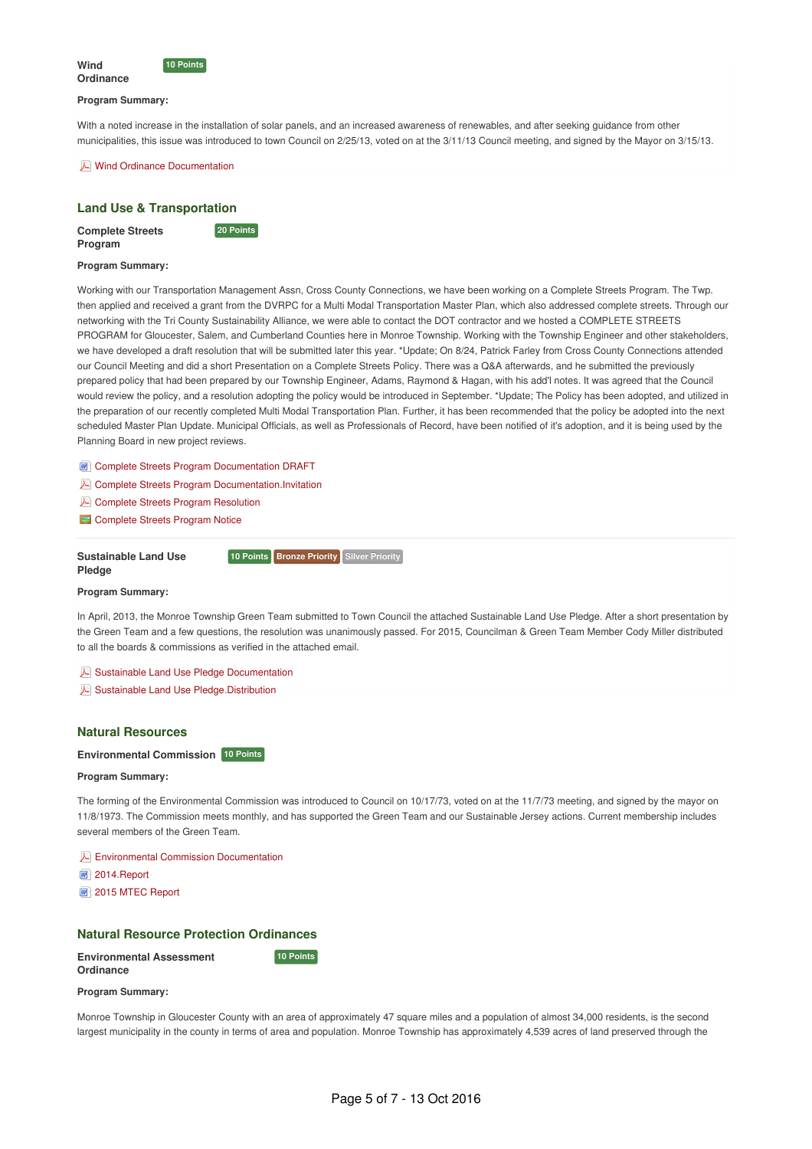



#### **Program Summary:**

With a noted increase in the installation of solar panels, and an increased awareness of renewables, and after seeking guidance from other municipalities, this issue was introduced to town Council on 2/25/13, voted on at the 3/11/13 Council meeting, and signed by the Mayor on 3/15/13.

Wind Ordinance [Documentation](http://sj-site-persistent-prod.s3.amazonaws.com/fileadmin/cicbase/documents/2014/1/28/1390937292219.pdf)

# **Land Use & Transportation**

**Complete Streets Program**

**20 Points** 

### **Program Summary:**

Working with our Transportation Management Assn, Cross County Connections, we have been working on a Complete Streets Program. The Twp. then applied and received a grant from the DVRPC for a Multi Modal Transportation Master Plan, which also addressed complete streets. Through our networking with the Tri County Sustainability Alliance, we were able to contact the DOT contractor and we hosted a COMPLETE STREETS PROGRAM for Gloucester, Salem, and Cumberland Counties here in Monroe Township. Working with the Township Engineer and other stakeholders, we have developed a draft resolution that will be submitted later this year. \*Update; On 8/24, Patrick Farley from Cross County Connections attended our Council Meeting and did a short Presentation on a Complete Streets Policy. There was a Q&A afterwards, and he submitted the previously prepared policy that had been prepared by our Township Engineer, Adams, Raymond & Hagan, with his add'l notes. It was agreed that the Council would review the policy, and a resolution adopting the policy would be introduced in September. \*Update; The Policy has been adopted, and utilized in the preparation of our recently completed Multi Modal Transportation Plan. Further, it has been recommended that the policy be adopted into the next scheduled Master Plan Update. Municipal Officials, as well as Professionals of Record, have been notified of it's adoption, and it is being used by the Planning Board in new project reviews.

**Complete Streets Program [Documentation](http://sj-site-persistent-prod.s3.amazonaws.com/fileadmin/cicbase/documents/2015/6/8/14337312806707.docx) DRAFT** 

- **Complete Streets Program [Documentation.Invitation](http://sj-site-persistent-prod.s3.amazonaws.com/fileadmin/cicbase/documents/2015/6/8/14337320421449.pdf)**
- **Complete Streets Program [Resolution](http://sj-site-persistent-prod.s3.amazonaws.com/fileadmin/cicbase/documents/2016/9/8/14733778345171.pdf)**
- [Complete](http://sj-site-persistent-prod.s3.amazonaws.com/fileadmin/cicbase/documents/2016/9/8/14733788132824.JPG) Streets Program Notice

#### **Sustainable Land Use Pledge**

**10 Points Bronze Priority Silver Priority** 

# **Program Summary:**

In April, 2013, the Monroe Township Green Team submitted to Town Council the attached Sustainable Land Use Pledge. After a short presentation by the Green Team and a few questions, the resolution was unanimously passed. For 2015, Councilman & Green Team Member Cody Miller distributed to all the boards & commissions as verified in the attached email.

Sustainable Land Use Pledge [Documentation](http://sj-site-persistent-prod.s3.amazonaws.com/fileadmin/cicbase/documents/2014/1/2/13887019873239.pdf)

Sustainable Land Use [Pledge.Distribution](http://sj-site-persistent-prod.s3.amazonaws.com/fileadmin/cicbase/documents/2015/6/7/14336993396916.pdf)

# **Natural Resources**

# **Environmental Commission 10 Points**

#### **Program Summary:**

The forming of the Environmental Commission was introduced to Council on 10/17/73, voted on at the 11/7/73 meeting, and signed by the mayor on 11/8/1973. The Commission meets monthly, and has supported the Green Team and our Sustainable Jersey actions. Current membership includes several members of the Green Team.

**E** Environmental Commission [Documentation](http://sj-site-persistent-prod.s3.amazonaws.com/fileadmin/cicbase/documents/2015/6/7/14337090430709.pdf)

[2014.Report](http://sj-site-persistent-prod.s3.amazonaws.com/fileadmin/cicbase/documents/2015/6/7/14337093984689.doc)

2015 MTEC [Report](http://sj-site-persistent-prod.s3.amazonaws.com/fileadmin/cicbase/documents/2016/9/11/14736190372171.doc)

## **Natural Resource Protection Ordinances**

**10 Points** 

**Environmental Assessment Ordinance**

#### **Program Summary:**

Monroe Township in Gloucester County with an area of approximately 47 square miles and a population of almost 34,000 residents, is the second largest municipality in the county in terms of area and population. Monroe Township has approximately 4,539 acres of land preserved through the